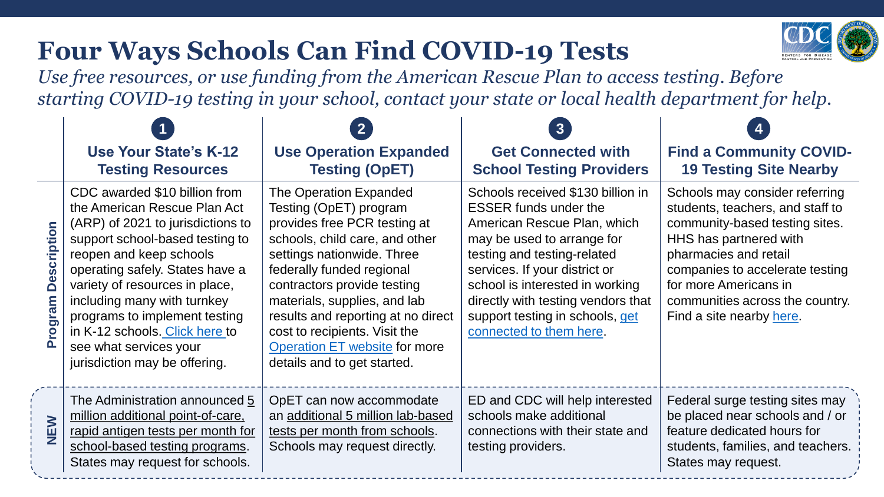## **Four Ways Schools Can Find COVID-19 Tests**



*Use free resources, or use funding from the American Rescue Plan to access testing. Before starting COVID-19 testing in your school, contact your state or local health department for help.*

|                               | <b>Use Your State's K-12</b><br><b>Testing Resources</b>                                                                                                                                                                                                                                                                                                                                           | <b>Use Operation Expanded</b><br><b>Testing (OpET)</b>                                                                                                                                                                                                                                                                                                                                     | 3<br><b>Get Connected with</b><br><b>School Testing Providers</b>                                                                                                                                                                                                                                                                     | <b>Find a Community COVID-</b><br><b>19 Testing Site Nearby</b>                                                                                                                                                                                                                    |
|-------------------------------|----------------------------------------------------------------------------------------------------------------------------------------------------------------------------------------------------------------------------------------------------------------------------------------------------------------------------------------------------------------------------------------------------|--------------------------------------------------------------------------------------------------------------------------------------------------------------------------------------------------------------------------------------------------------------------------------------------------------------------------------------------------------------------------------------------|---------------------------------------------------------------------------------------------------------------------------------------------------------------------------------------------------------------------------------------------------------------------------------------------------------------------------------------|------------------------------------------------------------------------------------------------------------------------------------------------------------------------------------------------------------------------------------------------------------------------------------|
| <b>Description</b><br>Program | CDC awarded \$10 billion from<br>the American Rescue Plan Act<br>(ARP) of 2021 to jurisdictions to<br>support school-based testing to<br>reopen and keep schools<br>operating safely. States have a<br>variety of resources in place,<br>including many with turnkey<br>programs to implement testing<br>in K-12 schools. Click here to<br>see what services your<br>jurisdiction may be offering. | The Operation Expanded<br>Testing (OpET) program<br>provides free PCR testing at<br>schools, child care, and other<br>settings nationwide. Three<br>federally funded regional<br>contractors provide testing<br>materials, supplies, and lab<br>results and reporting at no direct<br>cost to recipients. Visit the<br><b>Operation ET website for more</b><br>details and to get started. | Schools received \$130 billion in<br><b>ESSER funds under the</b><br>American Rescue Plan, which<br>may be used to arrange for<br>testing and testing-related<br>services. If your district or<br>school is interested in working<br>directly with testing vendors that<br>support testing in schools, get<br>connected to them here. | Schools may consider referring<br>students, teachers, and staff to<br>community-based testing sites.<br>HHS has partnered with<br>pharmacies and retail<br>companies to accelerate testing<br>for more Americans in<br>communities across the country.<br>Find a site nearby here. |
| NEW                           | The Administration announced 5<br>million additional point-of-care,<br>rapid antigen tests per month for<br>school-based testing programs.<br>States may request for schools.                                                                                                                                                                                                                      | OpET can now accommodate<br>an additional 5 million lab-based<br>tests per month from schools.<br>Schools may request directly.                                                                                                                                                                                                                                                            | ED and CDC will help interested<br>schools make additional<br>connections with their state and<br>testing providers.                                                                                                                                                                                                                  | Federal surge testing sites may<br>be placed near schools and / or<br>feature dedicated hours for<br>students, families, and teachers.<br>States may request.                                                                                                                      |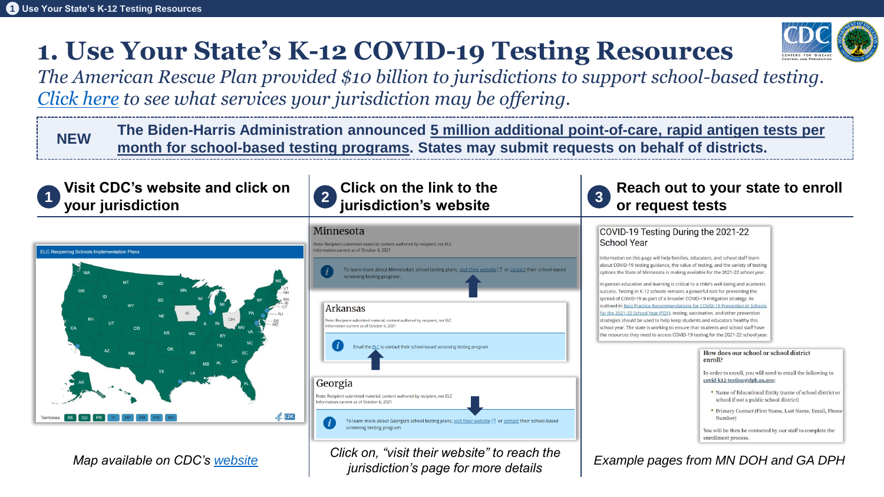### **1. Use Your State's K-12 COVID-19 Testing Resources**



The Biden-Harris Administration announced 5 million additional point-of-care, rapid antigen tests per<br>month for school-based testing programs. States may submit requests on behalf of districts.



*Map available on CDC's [website](https://www.cdc.gov/ncezid/dpei/elc/covid-response/index.html)*

*Click on, "visit their website" to reach the jurisdiction's page for more details*

*Example pages from MN DOH and GA DPH*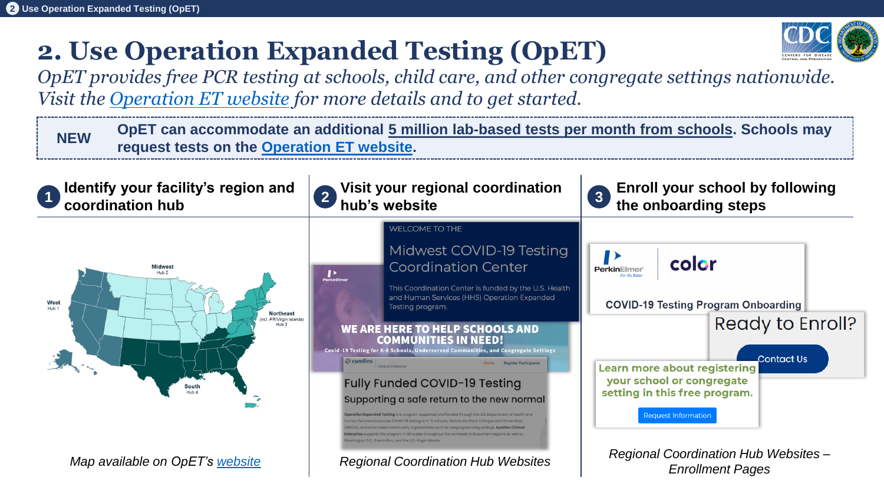# **2. Use Operation Expanded Testing (OpET)**



*OpET provides free PCR testing at schools, child care, and other congregate settings nationwide. Visit the [Operation ET website](https://www.cdc.gov/coronavirus/2019-ncov/testing/operation-expanded-testing.html) for more details and to get started.*

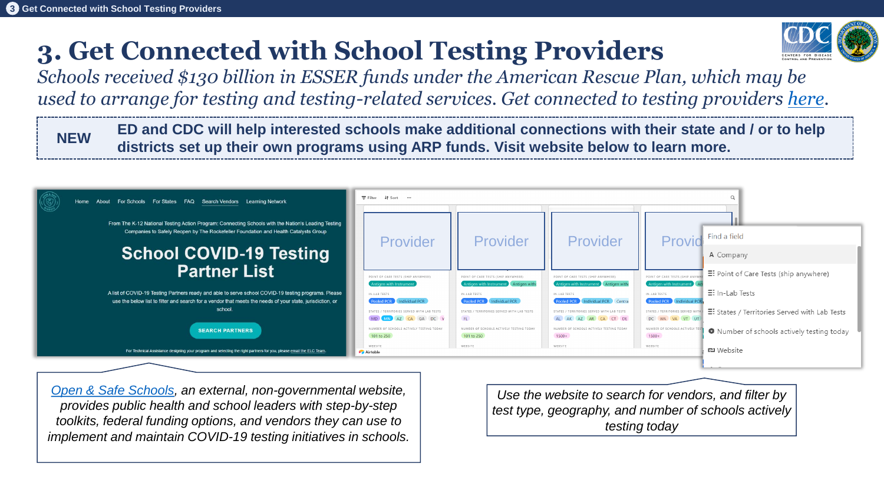## **3. Get Connected with School Testing Providers**



*Schools received \$130 billion in ESSER funds under the American Rescue Plan, which may be used to arrange for testing and testing-related services. Get connected to testing providers [here](https://www.openandsafeschools.org/partners).* 

**NEW ED and CDC will help interested schools make additional connections with their state and / or to help districts set up their own programs using ARP funds. Visit website below to learn more.**



*[Open & Safe Schools](https://www.openandsafeschools.org/partners#Testing-Partners), an external, non-governmental website, provides public health and school leaders with step-by-step toolkits, federal funding options, and vendors they can use to implement and maintain COVID-19 testing initiatives in schools.*

*Use the website to search for vendors, and filter by test type, geography, and number of schools actively testing today*